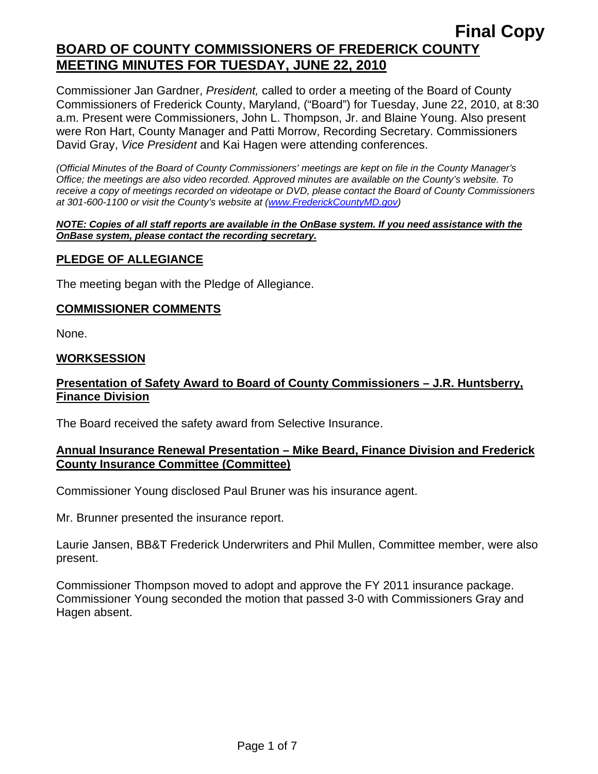Commissioner Jan Gardner, *President,* called to order a meeting of the Board of County Commissioners of Frederick County, Maryland, ("Board") for Tuesday, June 22, 2010, at 8:30 a.m. Present were Commissioners, John L. Thompson, Jr. and Blaine Young. Also present were Ron Hart, County Manager and Patti Morrow, Recording Secretary. Commissioners David Gray, *Vice President* and Kai Hagen were attending conferences.

*(Official Minutes of the Board of County Commissioners' meetings are kept on file in the County Manager's Office; the meetings are also video recorded. Approved minutes are available on the County's website. To receive a copy of meetings recorded on videotape or DVD, please contact the Board of County Commissioners at 301-600-1100 or visit the County's website at ([www.FrederickCountyMD.gov](http://www.frederickcountymd.gov/))* 

#### *NOTE: Copies of all staff reports are available in the OnBase system. If you need assistance with the OnBase system, please contact the recording secretary.*

# **PLEDGE OF ALLEGIANCE**

The meeting began with the Pledge of Allegiance.

### **COMMISSIONER COMMENTS**

None.

### **WORKSESSION**

# **Presentation of Safety Award to Board of County Commissioners – J.R. Huntsberry, Finance Division**

The Board received the safety award from Selective Insurance.

## **Annual Insurance Renewal Presentation – Mike Beard, Finance Division and Frederick County Insurance Committee (Committee)**

Commissioner Young disclosed Paul Bruner was his insurance agent.

Mr. Brunner presented the insurance report.

Laurie Jansen, BB&T Frederick Underwriters and Phil Mullen, Committee member, were also present.

Commissioner Thompson moved to adopt and approve the FY 2011 insurance package. Commissioner Young seconded the motion that passed 3-0 with Commissioners Gray and Hagen absent.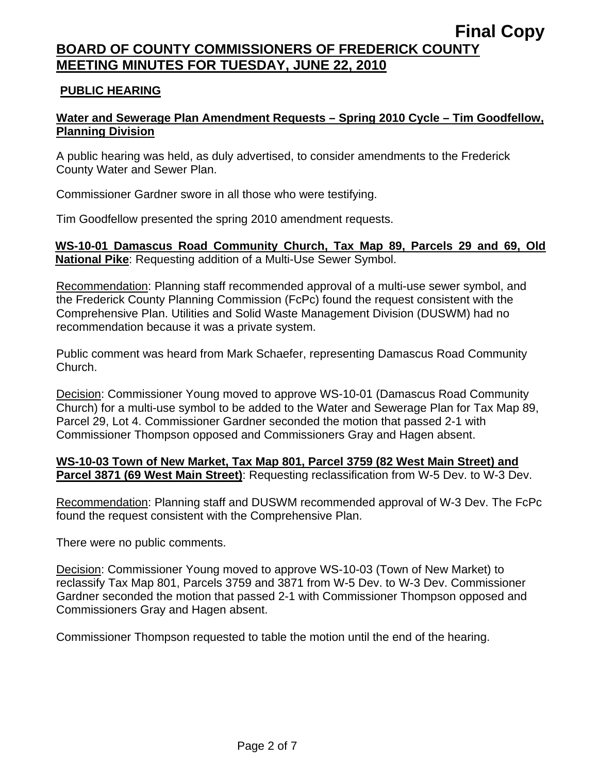## **PUBLIC HEARING**

# **Water and Sewerage Plan Amendment Requests – Spring 2010 Cycle – Tim Goodfellow, Planning Division**

A public hearing was held, as duly advertised, to consider amendments to the Frederick County Water and Sewer Plan.

Commissioner Gardner swore in all those who were testifying.

Tim Goodfellow presented the spring 2010 amendment requests.

**WS-10-01 Damascus Road Community Church, Tax Map 89, Parcels 29 and 69, Old National Pike**: Requesting addition of a Multi-Use Sewer Symbol.

Recommendation: Planning staff recommended approval of a multi-use sewer symbol, and the Frederick County Planning Commission (FcPc) found the request consistent with the Comprehensive Plan. Utilities and Solid Waste Management Division (DUSWM) had no recommendation because it was a private system.

Public comment was heard from Mark Schaefer, representing Damascus Road Community Church.

Decision: Commissioner Young moved to approve WS-10-01 (Damascus Road Community Church) for a multi-use symbol to be added to the Water and Sewerage Plan for Tax Map 89, Parcel 29, Lot 4. Commissioner Gardner seconded the motion that passed 2-1 with Commissioner Thompson opposed and Commissioners Gray and Hagen absent.

## **WS-10-03 Town of New Market, Tax Map 801, Parcel 3759 (82 West Main Street) and Parcel 3871 (69 West Main Street)**: Requesting reclassification from W-5 Dev. to W-3 Dev.

Recommendation: Planning staff and DUSWM recommended approval of W-3 Dev. The FcPc found the request consistent with the Comprehensive Plan.

There were no public comments.

Decision: Commissioner Young moved to approve WS-10-03 (Town of New Market) to reclassify Tax Map 801, Parcels 3759 and 3871 from W-5 Dev. to W-3 Dev. Commissioner Gardner seconded the motion that passed 2-1 with Commissioner Thompson opposed and Commissioners Gray and Hagen absent.

Commissioner Thompson requested to table the motion until the end of the hearing.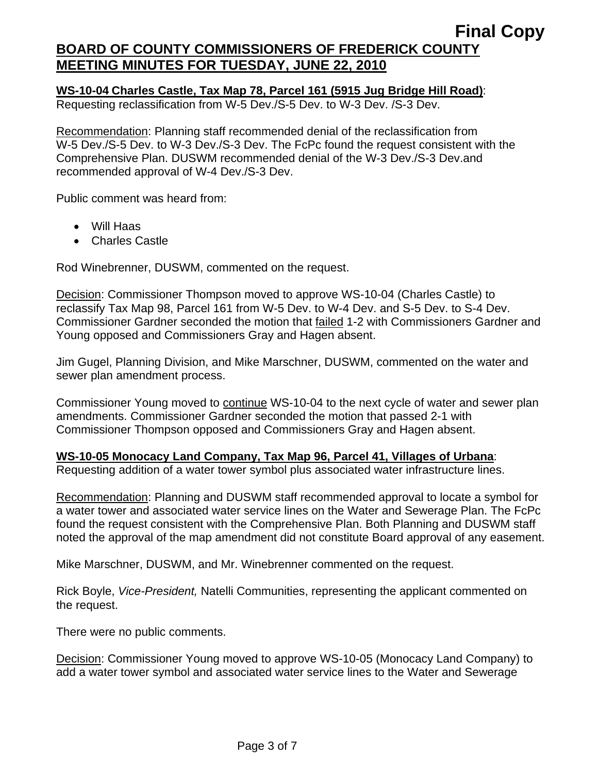## **WS-10-04 Charles Castle, Tax Map 78, Parcel 161 (5915 Jug Bridge Hill Road)**:

Requesting reclassification from W-5 Dev./S-5 Dev. to W-3 Dev. /S-3 Dev.

Recommendation: Planning staff recommended denial of the reclassification from W-5 Dev./S-5 Dev. to W-3 Dev./S-3 Dev. The FcPc found the request consistent with the Comprehensive Plan. DUSWM recommended denial of the W-3 Dev./S-3 Dev.and recommended approval of W-4 Dev./S-3 Dev.

Public comment was heard from:

- Will Haas
- Charles Castle

Rod Winebrenner, DUSWM, commented on the request.

Decision: Commissioner Thompson moved to approve WS-10-04 (Charles Castle) to reclassify Tax Map 98, Parcel 161 from W-5 Dev. to W-4 Dev. and S-5 Dev. to S-4 Dev. Commissioner Gardner seconded the motion that failed 1-2 with Commissioners Gardner and Young opposed and Commissioners Gray and Hagen absent.

Jim Gugel, Planning Division, and Mike Marschner, DUSWM, commented on the water and sewer plan amendment process.

Commissioner Young moved to continue WS-10-04 to the next cycle of water and sewer plan amendments. Commissioner Gardner seconded the motion that passed 2-1 with Commissioner Thompson opposed and Commissioners Gray and Hagen absent.

### **WS-10-05 Monocacy Land Company, Tax Map 96, Parcel 41, Villages of Urbana**:

Requesting addition of a water tower symbol plus associated water infrastructure lines.

Recommendation: Planning and DUSWM staff recommended approval to locate a symbol for a water tower and associated water service lines on the Water and Sewerage Plan. The FcPc found the request consistent with the Comprehensive Plan. Both Planning and DUSWM staff noted the approval of the map amendment did not constitute Board approval of any easement.

Mike Marschner, DUSWM, and Mr. Winebrenner commented on the request.

Rick Boyle, *Vice-President,* Natelli Communities, representing the applicant commented on the request.

There were no public comments.

Decision: Commissioner Young moved to approve WS-10-05 (Monocacy Land Company) to add a water tower symbol and associated water service lines to the Water and Sewerage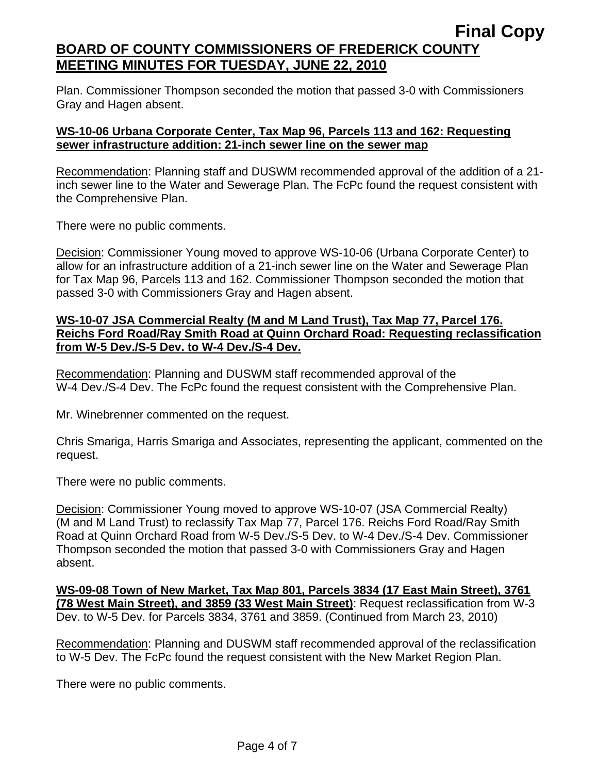Plan. Commissioner Thompson seconded the motion that passed 3-0 with Commissioners Gray and Hagen absent.

# **WS-10-06 Urbana Corporate Center, Tax Map 96, Parcels 113 and 162: Requesting sewer infrastructure addition: 21-inch sewer line on the sewer map**

Recommendation: Planning staff and DUSWM recommended approval of the addition of a 21 inch sewer line to the Water and Sewerage Plan. The FcPc found the request consistent with the Comprehensive Plan.

There were no public comments.

Decision: Commissioner Young moved to approve WS-10-06 (Urbana Corporate Center) to allow for an infrastructure addition of a 21-inch sewer line on the Water and Sewerage Plan for Tax Map 96, Parcels 113 and 162. Commissioner Thompson seconded the motion that passed 3-0 with Commissioners Gray and Hagen absent.

### **WS-10-07 JSA Commercial Realty (M and M Land Trust), Tax Map 77, Parcel 176. Reichs Ford Road/Ray Smith Road at Quinn Orchard Road: Requesting reclassification from W-5 Dev./S-5 Dev. to W-4 Dev./S-4 Dev.**

Recommendation: Planning and DUSWM staff recommended approval of the W-4 Dev./S-4 Dev. The FcPc found the request consistent with the Comprehensive Plan.

Mr. Winebrenner commented on the request.

Chris Smariga, Harris Smariga and Associates, representing the applicant, commented on the request.

There were no public comments.

Decision: Commissioner Young moved to approve WS-10-07 (JSA Commercial Realty) (M and M Land Trust) to reclassify Tax Map 77, Parcel 176. Reichs Ford Road/Ray Smith Road at Quinn Orchard Road from W-5 Dev./S-5 Dev. to W-4 Dev./S-4 Dev. Commissioner Thompson seconded the motion that passed 3-0 with Commissioners Gray and Hagen absent.

**WS-09-08 Town of New Market, Tax Map 801, Parcels 3834 (17 East Main Street), 3761 (78 West Main Street), and 3859 (33 West Main Street)**: Request reclassification from W-3 Dev. to W-5 Dev. for Parcels 3834, 3761 and 3859. (Continued from March 23, 2010)

Recommendation: Planning and DUSWM staff recommended approval of the reclassification to W-5 Dev. The FcPc found the request consistent with the New Market Region Plan.

There were no public comments.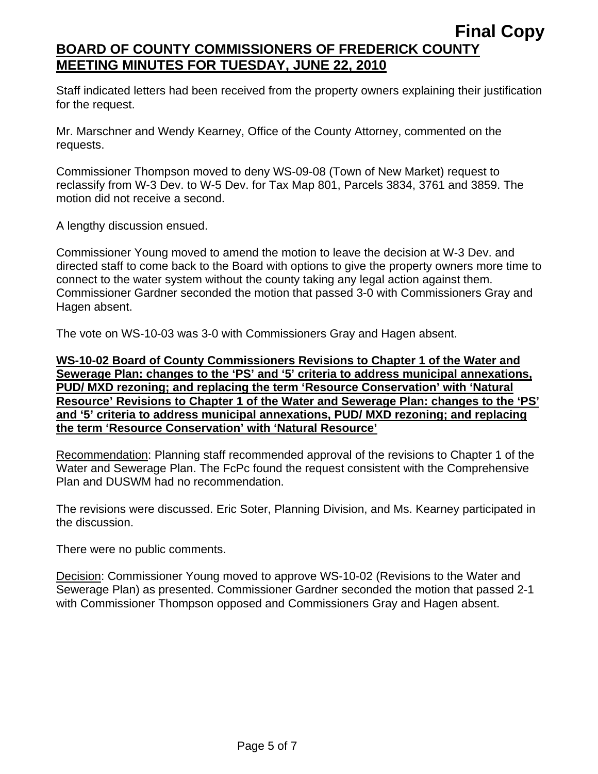Staff indicated letters had been received from the property owners explaining their justification for the request.

Mr. Marschner and Wendy Kearney, Office of the County Attorney, commented on the requests.

Commissioner Thompson moved to deny WS-09-08 (Town of New Market) request to reclassify from W-3 Dev. to W-5 Dev. for Tax Map 801, Parcels 3834, 3761 and 3859. The motion did not receive a second.

A lengthy discussion ensued.

Commissioner Young moved to amend the motion to leave the decision at W-3 Dev. and directed staff to come back to the Board with options to give the property owners more time to connect to the water system without the county taking any legal action against them. Commissioner Gardner seconded the motion that passed 3-0 with Commissioners Gray and Hagen absent.

The vote on WS-10-03 was 3-0 with Commissioners Gray and Hagen absent.

**WS-10-02 Board of County Commissioners Revisions to Chapter 1 of the Water and Sewerage Plan: changes to the 'PS' and '5' criteria to address municipal annexations, PUD/ MXD rezoning; and replacing the term 'Resource Conservation' with 'Natural Resource' Revisions to Chapter 1 of the Water and Sewerage Plan: changes to the 'PS' and '5' criteria to address municipal annexations, PUD/ MXD rezoning; and replacing the term 'Resource Conservation' with 'Natural Resource'**

Recommendation: Planning staff recommended approval of the revisions to Chapter 1 of the Water and Sewerage Plan. The FcPc found the request consistent with the Comprehensive Plan and DUSWM had no recommendation.

The revisions were discussed. Eric Soter, Planning Division, and Ms. Kearney participated in the discussion.

There were no public comments.

Decision: Commissioner Young moved to approve WS-10-02 (Revisions to the Water and Sewerage Plan) as presented. Commissioner Gardner seconded the motion that passed 2-1 with Commissioner Thompson opposed and Commissioners Gray and Hagen absent.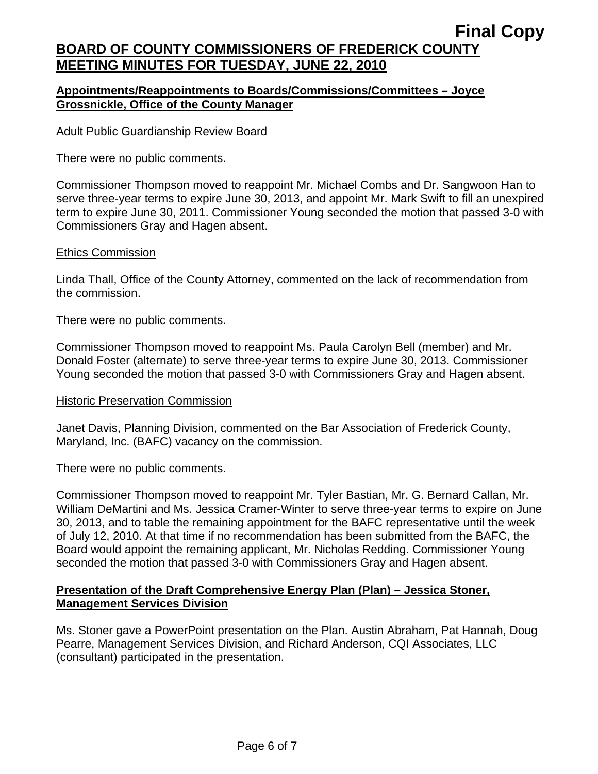## **Appointments/Reappointments to Boards/Commissions/Committees – Joyce Grossnickle, Office of the County Manager**

### Adult Public Guardianship Review Board

There were no public comments.

Commissioner Thompson moved to reappoint Mr. Michael Combs and Dr. Sangwoon Han to serve three-year terms to expire June 30, 2013, and appoint Mr. Mark Swift to fill an unexpired term to expire June 30, 2011. Commissioner Young seconded the motion that passed 3-0 with Commissioners Gray and Hagen absent.

### Ethics Commission

Linda Thall, Office of the County Attorney, commented on the lack of recommendation from the commission.

There were no public comments.

Commissioner Thompson moved to reappoint Ms. Paula Carolyn Bell (member) and Mr. Donald Foster (alternate) to serve three-year terms to expire June 30, 2013. Commissioner Young seconded the motion that passed 3-0 with Commissioners Gray and Hagen absent.

### Historic Preservation Commission

Janet Davis, Planning Division, commented on the Bar Association of Frederick County, Maryland, Inc. (BAFC) vacancy on the commission.

There were no public comments.

Commissioner Thompson moved to reappoint Mr. Tyler Bastian, Mr. G. Bernard Callan, Mr. William DeMartini and Ms. Jessica Cramer-Winter to serve three-year terms to expire on June 30, 2013, and to table the remaining appointment for the BAFC representative until the week of July 12, 2010. At that time if no recommendation has been submitted from the BAFC, the Board would appoint the remaining applicant, Mr. Nicholas Redding. Commissioner Young seconded the motion that passed 3-0 with Commissioners Gray and Hagen absent.

## **Presentation of the Draft Comprehensive Energy Plan (Plan) – Jessica Stoner, Management Services Division**

Ms. Stoner gave a PowerPoint presentation on the Plan. Austin Abraham, Pat Hannah, Doug Pearre, Management Services Division, and Richard Anderson, CQI Associates, LLC (consultant) participated in the presentation.